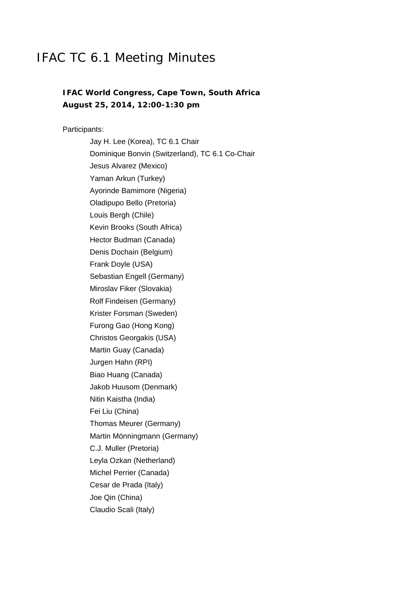# IFAC TC 6.1 Meeting Minutes

# **IFAC World Congress, Cape Town, South Africa August 25, 2014, 12:00-1:30 pm**

Participants:

Jay H. Lee (Korea), TC 6.1 Chair Dominique Bonvin (Switzerland), TC 6.1 Co-Chair Jesus Alvarez (Mexico) Yaman Arkun (Turkey) Ayorinde Bamimore (Nigeria) Oladipupo Bello (Pretoria) Louis Bergh (Chile) Kevin Brooks (South Africa) Hector Budman (Canada) Denis Dochain (Belgium) Frank Doyle (USA) Sebastian Engell (Germany) Miroslav Fiker (Slovakia) Rolf Findeisen (Germany) Krister Forsman (Sweden) Furong Gao (Hong Kong) Christos Georgakis (USA) Martin Guay (Canada) Jurgen Hahn (RPI) Biao Huang (Canada) Jakob Huusom (Denmark) Nitin Kaistha (India) Fei Liu (China) Thomas Meurer (Germany) Martin Mönningmann (Germany) C.J. Muller (Pretoria) Leyla Ozkan (Netherland) Michel Perrier (Canada) Cesar de Prada (Italy) Joe Qin (China) Claudio Scali (Italy)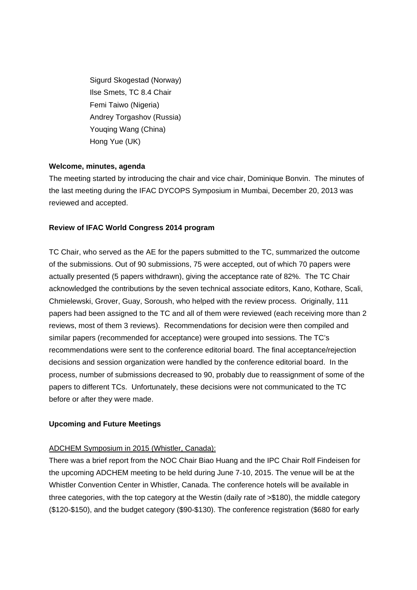Sigurd Skogestad (Norway) Ilse Smets, TC 8.4 Chair Femi Taiwo (Nigeria) Andrey Torgashov (Russia) Youqing Wang (China) Hong Yue (UK)

# **Welcome, minutes, agenda**

The meeting started by introducing the chair and vice chair, Dominique Bonvin. The minutes of the last meeting during the IFAC DYCOPS Symposium in Mumbai, December 20, 2013 was reviewed and accepted.

# **Review of IFAC World Congress 2014 program**

TC Chair, who served as the AE for the papers submitted to the TC, summarized the outcome of the submissions. Out of 90 submissions, 75 were accepted, out of which 70 papers were actually presented (5 papers withdrawn), giving the acceptance rate of 82%. The TC Chair acknowledged the contributions by the seven technical associate editors, Kano, Kothare, Scali, Chmielewski, Grover, Guay, Soroush, who helped with the review process. Originally, 111 papers had been assigned to the TC and all of them were reviewed (each receiving more than 2 reviews, most of them 3 reviews). Recommendations for decision were then compiled and similar papers (recommended for acceptance) were grouped into sessions. The TC's recommendations were sent to the conference editorial board. The final acceptance/rejection decisions and session organization were handled by the conference editorial board. In the process, number of submissions decreased to 90, probably due to reassignment of some of the papers to different TCs. Unfortunately, these decisions were not communicated to the TC before or after they were made.

#### **Upcoming and Future Meetings**

#### ADCHEM Symposium in 2015 (Whistler, Canada):

There was a brief report from the NOC Chair Biao Huang and the IPC Chair Rolf Findeisen for the upcoming ADCHEM meeting to be held during June 7-10, 2015. The venue will be at the Whistler Convention Center in Whistler, Canada. The conference hotels will be available in three categories, with the top category at the Westin (daily rate of >\$180), the middle category (\$120-\$150), and the budget category (\$90-\$130). The conference registration (\$680 for early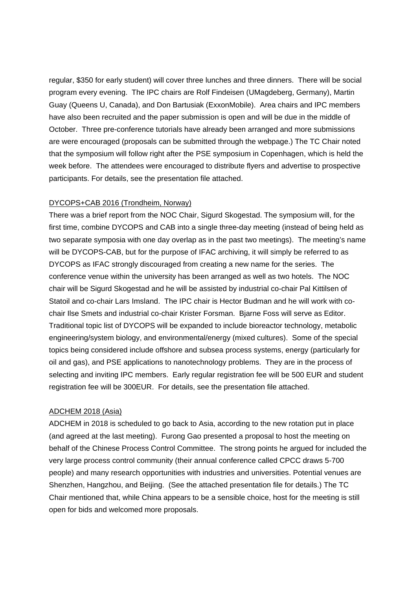regular, \$350 for early student) will cover three lunches and three dinners. There will be social program every evening. The IPC chairs are Rolf Findeisen (UMagdeberg, Germany), Martin Guay (Queens U, Canada), and Don Bartusiak (ExxonMobile). Area chairs and IPC members have also been recruited and the paper submission is open and will be due in the middle of October. Three pre-conference tutorials have already been arranged and more submissions are were encouraged (proposals can be submitted through the webpage.) The TC Chair noted that the symposium will follow right after the PSE symposium in Copenhagen, which is held the week before. The attendees were encouraged to distribute flyers and advertise to prospective participants. For details, see the presentation file attached.

#### DYCOPS+CAB 2016 (Trondheim, Norway)

There was a brief report from the NOC Chair, Sigurd Skogestad. The symposium will, for the first time, combine DYCOPS and CAB into a single three-day meeting (instead of being held as two separate symposia with one day overlap as in the past two meetings). The meeting's name will be DYCOPS-CAB, but for the purpose of IFAC archiving, it will simply be referred to as DYCOPS as IFAC strongly discouraged from creating a new name for the series. The conference venue within the university has been arranged as well as two hotels. The NOC chair will be Sigurd Skogestad and he will be assisted by industrial co-chair Pal Kittilsen of Statoil and co-chair Lars Imsland. The IPC chair is Hector Budman and he will work with cochair Ilse Smets and industrial co-chair Krister Forsman. Bjarne Foss will serve as Editor. Traditional topic list of DYCOPS will be expanded to include bioreactor technology, metabolic engineering/system biology, and environmental/energy (mixed cultures). Some of the special topics being considered include offshore and subsea process systems, energy (particularly for oil and gas), and PSE applications to nanotechnology problems. They are in the process of selecting and inviting IPC members. Early regular registration fee will be 500 EUR and student registration fee will be 300EUR. For details, see the presentation file attached.

#### ADCHEM 2018 (Asia)

ADCHEM in 2018 is scheduled to go back to Asia, according to the new rotation put in place (and agreed at the last meeting). Furong Gao presented a proposal to host the meeting on behalf of the Chinese Process Control Committee. The strong points he argued for included the very large process control community (their annual conference called CPCC draws 5-700 people) and many research opportunities with industries and universities. Potential venues are Shenzhen, Hangzhou, and Beijing. (See the attached presentation file for details.) The TC Chair mentioned that, while China appears to be a sensible choice, host for the meeting is still open for bids and welcomed more proposals.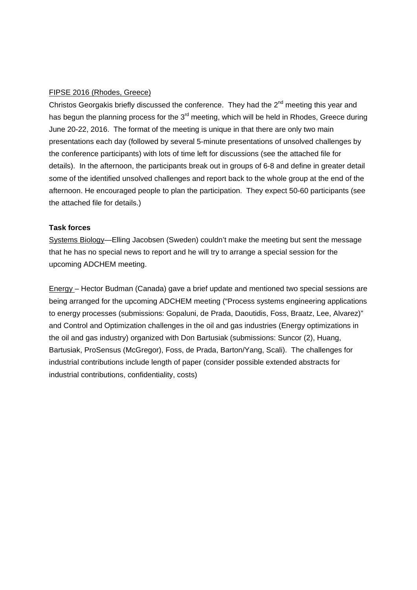### FIPSE 2016 (Rhodes, Greece)

Christos Georgakis briefly discussed the conference. They had the  $2^{nd}$  meeting this year and has begun the planning process for the  $3<sup>rd</sup>$  meeting, which will be held in Rhodes, Greece during June 20-22, 2016. The format of the meeting is unique in that there are only two main presentations each day (followed by several 5-minute presentations of unsolved challenges by the conference participants) with lots of time left for discussions (see the attached file for details). In the afternoon, the participants break out in groups of 6-8 and define in greater detail some of the identified unsolved challenges and report back to the whole group at the end of the afternoon. He encouraged people to plan the participation. They expect 50-60 participants (see the attached file for details.)

# **Task forces**

Systems Biology—Elling Jacobsen (Sweden) couldn't make the meeting but sent the message that he has no special news to report and he will try to arrange a special session for the upcoming ADCHEM meeting.

Energy – Hector Budman (Canada) gave a brief update and mentioned two special sessions are being arranged for the upcoming ADCHEM meeting ("Process systems engineering applications to energy processes (submissions: Gopaluni, de Prada, Daoutidis, Foss, Braatz, Lee, Alvarez)" and Control and Optimization challenges in the oil and gas industries (Energy optimizations in the oil and gas industry) organized with Don Bartusiak (submissions: Suncor (2), Huang, Bartusiak, ProSensus (McGregor), Foss, de Prada, Barton/Yang, Scali). The challenges for industrial contributions include length of paper (consider possible extended abstracts for industrial contributions, confidentiality, costs)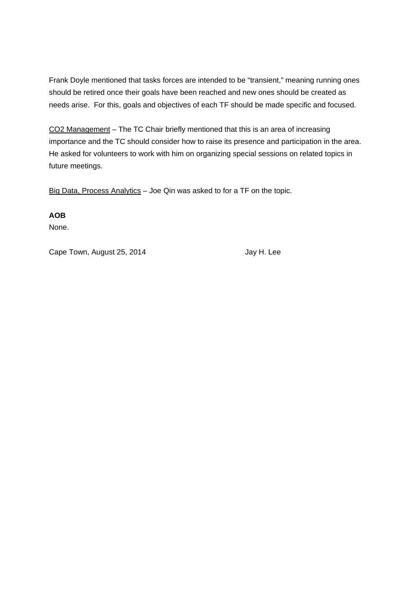Frank Doyle mentioned that tasks forces are intended to be "transient," meaning running ones should be retired once their goals have been reached and new ones should be created as needs arise. For this, goals and objectives of each TF should be made specific and focused.

CO2 Management – The TC Chair briefly mentioned that this is an area of increasing importance and the TC should consider how to raise its presence and participation in the area. He asked for volunteers to work with him on organizing special sessions on related topics in future meetings.

Big Data, Process Analytics - Joe Qin was asked to for a TF on the topic.

**AOB** 

None.

Cape Town, August 25, 2014 Jay H. Lee